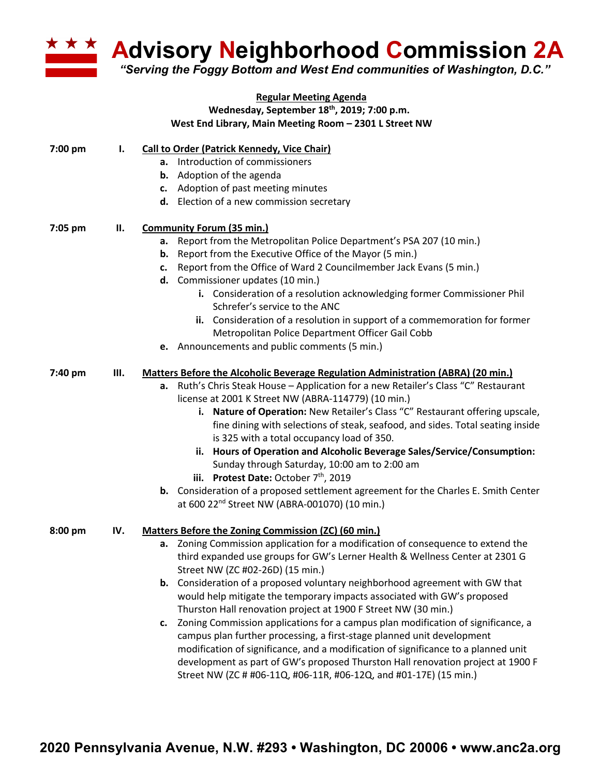

**Advisory Neighborhood Commission 2A**

*"Serving the Foggy Bottom and West End communities of Washington, D.C."*

|         |     | <b>Regular Meeting Agenda</b>                                                              |
|---------|-----|--------------------------------------------------------------------------------------------|
|         |     | Wednesday, September 18th, 2019; 7:00 p.m.                                                 |
|         |     | West End Library, Main Meeting Room - 2301 L Street NW                                     |
| 7:00 pm | Ι.  | <b>Call to Order (Patrick Kennedy, Vice Chair)</b>                                         |
|         |     | a. Introduction of commissioners                                                           |
|         |     | <b>b.</b> Adoption of the agenda                                                           |
|         |     | c. Adoption of past meeting minutes                                                        |
|         |     | d. Election of a new commission secretary                                                  |
| 7:05 pm | Н.  | <b>Community Forum (35 min.)</b>                                                           |
|         |     | a. Report from the Metropolitan Police Department's PSA 207 (10 min.)                      |
|         |     | <b>b.</b> Report from the Executive Office of the Mayor (5 min.)                           |
|         |     | Report from the Office of Ward 2 Councilmember Jack Evans (5 min.)<br>C.                   |
|         |     | d. Commissioner updates (10 min.)                                                          |
|         |     | i. Consideration of a resolution acknowledging former Commissioner Phil                    |
|         |     | Schrefer's service to the ANC                                                              |
|         |     | ii. Consideration of a resolution in support of a commemoration for former                 |
|         |     | Metropolitan Police Department Officer Gail Cobb                                           |
|         |     | e. Announcements and public comments (5 min.)                                              |
| 7:40 pm | Ш.  | <b>Matters Before the Alcoholic Beverage Regulation Administration (ABRA) (20 min.)</b>    |
|         |     | Ruth's Chris Steak House - Application for a new Retailer's Class "C" Restaurant<br>а.     |
|         |     | license at 2001 K Street NW (ABRA-114779) (10 min.)                                        |
|         |     | i. Nature of Operation: New Retailer's Class "C" Restaurant offering upscale,              |
|         |     | fine dining with selections of steak, seafood, and sides. Total seating inside             |
|         |     | is 325 with a total occupancy load of 350.                                                 |
|         |     | ii. Hours of Operation and Alcoholic Beverage Sales/Service/Consumption:                   |
|         |     | Sunday through Saturday, 10:00 am to 2:00 am                                               |
|         |     | iii. Protest Date: October $7th$ , 2019                                                    |
|         |     | <b>b.</b> Consideration of a proposed settlement agreement for the Charles E. Smith Center |
|         |     | at 600 22 <sup>nd</sup> Street NW (ABRA-001070) (10 min.)                                  |
| 8:00 pm | IV. | Matters Before the Zoning Commission (ZC) (60 min.)                                        |
|         |     | Zoning Commission application for a modification of consequence to extend the<br>а.        |
|         |     | third expanded use groups for GW's Lerner Health & Wellness Center at 2301 G               |
|         |     | Street NW (ZC #02-26D) (15 min.)                                                           |
|         |     | b. Consideration of a proposed voluntary neighborhood agreement with GW that               |
|         |     | would help mitigate the temporary impacts associated with GW's proposed                    |
|         |     | Thurston Hall renovation project at 1900 F Street NW (30 min.)                             |
|         |     | c. Zoning Commission applications for a campus plan modification of significance, a        |
|         |     | campus plan further processing, a first-stage planned unit development                     |
|         |     | modification of significance, and a modification of significance to a planned unit         |
|         |     | development as part of GW's proposed Thurston Hall renovation project at 1900 F            |
|         |     | Street NW (ZC # #06-11Q, #06-11R, #06-12Q, and #01-17E) (15 min.)                          |